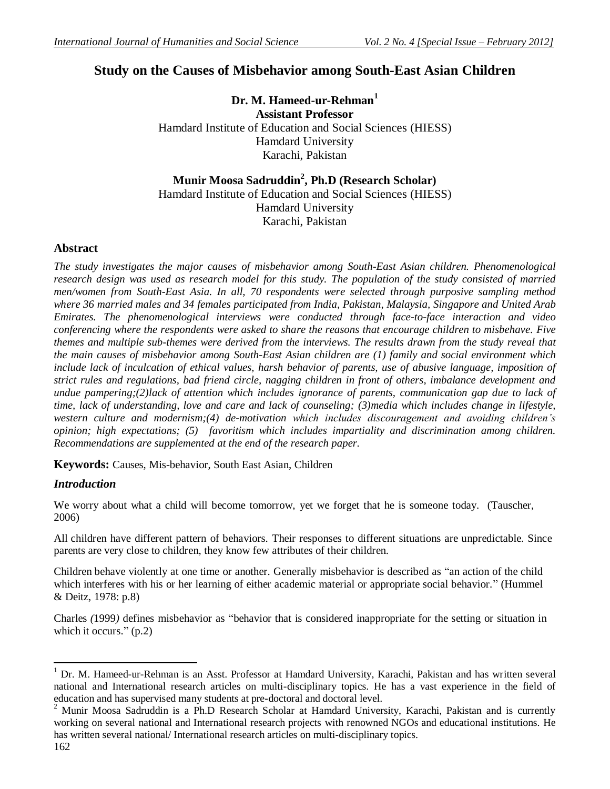# **Study on the Causes of Misbehavior among South-East Asian Children**

**Dr. M. Hameed-ur-Rehman<sup>1</sup> Assistant Professor** Hamdard Institute of Education and Social Sciences (HIESS) Hamdard University Karachi, Pakistan

**Munir Moosa Sadruddin<sup>2</sup> , Ph.D (Research Scholar)** Hamdard Institute of Education and Social Sciences (HIESS) Hamdard University Karachi, Pakistan

# **Abstract**

*The study investigates the major causes of misbehavior among South-East Asian children. Phenomenological research design was used as research model for this study. The population of the study consisted of married men/women from South-East Asia. In all, 70 respondents were selected through purposive sampling method where 36 married males and 34 females participated from India, Pakistan, Malaysia, Singapore and United Arab Emirates. The phenomenological interviews were conducted through face-to-face interaction and video conferencing where the respondents were asked to share the reasons that encourage children to misbehave. Five themes and multiple sub-themes were derived from the interviews. The results drawn from the study reveal that the main causes of misbehavior among South-East Asian children are (1) family and social environment which include lack of inculcation of ethical values, harsh behavior of parents, use of abusive language, imposition of strict rules and regulations, bad friend circle, nagging children in front of others, imbalance development and undue pampering;(2)lack of attention which includes ignorance of parents, communication gap due to lack of time, lack of understanding, love and care and lack of counseling; (3)media which includes change in lifestyle, western culture and modernism;(4) de-motivation which includes discouragement and avoiding children's opinion; high expectations; (5) favoritism which includes impartiality and discrimination among children. Recommendations are supplemented at the end of the research paper.* 

**Keywords:** Causes, Mis-behavior, South East Asian, Children

# *Introduction*

We worry about what a child will become tomorrow, yet we forget that he is someone today. (Tauscher, 2006)

All children have different pattern of behaviors. Their responses to different situations are unpredictable. Since parents are very close to children, they know few attributes of their children.

Children behave violently at one time or another. Generally misbehavior is described as "an action of the child which interferes with his or her learning of either academic material or appropriate social behavior." (Hummel & Deitz, 1978: p.8)

Charles *(*1999*)* defines misbehavior as "behavior that is considered inappropriate for the setting or situation in which it occurs." (p.2)

 $\overline{a}$ <sup>1</sup> Dr. M. Hameed-ur-Rehman is an Asst. Professor at Hamdard University, Karachi, Pakistan and has written several national and International research articles on multi-disciplinary topics. He has a vast experience in the field of education and has supervised many students at pre-doctoral and doctoral level.

<sup>&</sup>lt;sup>2</sup> Munir Moosa Sadruddin is a Ph.D Research Scholar at Hamdard University, Karachi, Pakistan and is currently working on several national and International research projects with renowned NGOs and educational institutions. He has written several national/ International research articles on multi-disciplinary topics.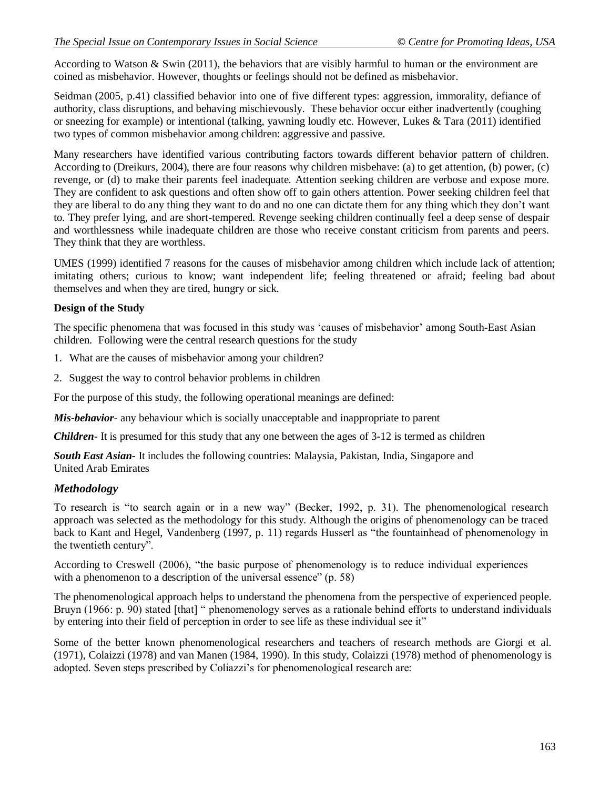According to Watson  $&$  Swin (2011), the behaviors that are visibly harmful to human or the environment are coined as misbehavior. However, thoughts or feelings should not be defined as misbehavior.

Seidman (2005, p.41) classified behavior into one of five different types: aggression, immorality, defiance of authority, class disruptions, and behaving mischievously. These behavior occur either inadvertently (coughing or sneezing for example) or intentional (talking, yawning loudly etc. However, Lukes & Tara (2011) identified two types of common misbehavior among children: aggressive and passive.

Many researchers have identified various contributing factors towards different behavior pattern of children. According to (Dreikurs, 2004), there are four reasons why children misbehave: (a) to get attention, (b) power, (c) revenge, or (d) to make their parents feel inadequate. Attention seeking children are verbose and expose more. They are confident to ask questions and often show off to gain others attention. Power seeking children feel that they are liberal to do any thing they want to do and no one can dictate them for any thing which they don"t want to. They prefer lying, and are short-tempered. Revenge seeking children continually feel a deep sense of despair and worthlessness while inadequate children are those who receive constant criticism from parents and peers. They think that they are worthless.

UMES (1999) identified 7 reasons for the causes of misbehavior among children which include lack of attention; imitating others; curious to know; want independent life; feeling threatened or afraid; feeling bad about themselves and when they are tired, hungry or sick.

# **Design of the Study**

The specific phenomena that was focused in this study was "causes of misbehavior" among South-East Asian children. Following were the central research questions for the study

- 1. What are the causes of misbehavior among your children?
- 2. Suggest the way to control behavior problems in children

For the purpose of this study, the following operational meanings are defined:

*Mis-behavior*- any behaviour which is socially unacceptable and inappropriate to parent

*Children-* It is presumed for this study that any one between the ages of 3-12 is termed as children

*South East Asian-* It includes the following countries: Malaysia, Pakistan, India, Singapore and United Arab Emirates

# *Methodology*

To research is "to search again or in a new way" (Becker, 1992, p. 31). The phenomenological research approach was selected as the methodology for this study. Although the origins of phenomenology can be traced back to Kant and Hegel, Vandenberg (1997, p. 11) regards Husserl as "the fountainhead of phenomenology in the twentieth century".

According to Creswell (2006), "the basic purpose of phenomenology is to reduce individual experiences with a phenomenon to a description of the universal essence" (p. 58)

The phenomenological approach helps to understand the phenomena from the perspective of experienced people. Bruyn (1966: p. 90) stated [that] " phenomenology serves as a rationale behind efforts to understand individuals by entering into their field of perception in order to see life as these individual see it"

Some of the better known phenomenological researchers and teachers of research methods are Giorgi et al. (1971), Colaizzi (1978) and van Manen (1984, 1990). In this study, Colaizzi (1978) method of phenomenology is adopted. Seven steps prescribed by Coliazzi's for phenomenological research are: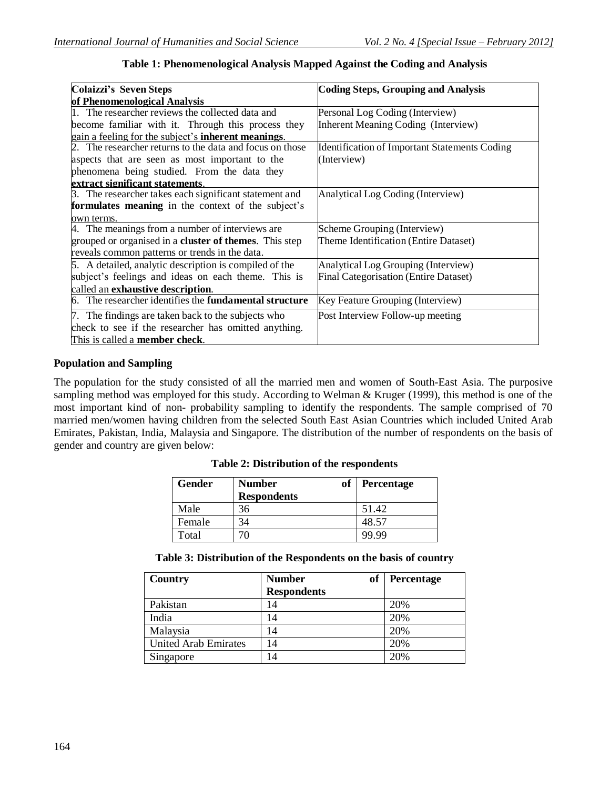| <b>Colaizzi's Seven Steps</b>                                    | <b>Coding Steps, Grouping and Analysis</b>           |
|------------------------------------------------------------------|------------------------------------------------------|
| of Phenomenological Analysis                                     |                                                      |
| The researcher reviews the collected data and                    | Personal Log Coding (Interview)                      |
| become familiar with it. Through this process they               | Inherent Meaning Coding (Interview)                  |
| gain a feeling for the subject's <b>inherent meanings</b> .      |                                                      |
| 2. The researcher returns to the data and focus on those         | <b>Identification of Important Statements Coding</b> |
| aspects that are seen as most important to the                   | (Interview)                                          |
| phenomena being studied. From the data they                      |                                                      |
| extract significant statements.                                  |                                                      |
| 3. The researcher takes each significant statement and           | Analytical Log Coding (Interview)                    |
| formulates meaning in the context of the subject's               |                                                      |
| own terms.                                                       |                                                      |
| 4. The meanings from a number of interviews are                  | Scheme Grouping (Interview)                          |
| grouped or organised in a <b>cluster of themes</b> . This step   | Theme Identification (Entire Dataset)                |
| reveals common patterns or trends in the data.                   |                                                      |
| 5. A detailed, analytic description is compiled of the           | Analytical Log Grouping (Interview)                  |
| subject's feelings and ideas on each theme. This is              | <b>Final Categorisation (Entire Dataset)</b>         |
| called an exhaustive description.                                |                                                      |
| The researcher identifies the <b>fundamental structure</b><br>6. | Key Feature Grouping (Interview)                     |
| 7. The findings are taken back to the subjects who               | Post Interview Follow-up meeting                     |
| check to see if the researcher has omitted anything.             |                                                      |
| This is called a member check.                                   |                                                      |

### **Table 1: Phenomenological Analysis Mapped Against the Coding and Analysis**

# **Population and Sampling**

The population for the study consisted of all the married men and women of South-East Asia. The purposive sampling method was employed for this study. According to Welman & Kruger (1999), this method is one of the most important kind of non- probability sampling to identify the respondents. The sample comprised of 70 married men/women having children from the selected South East Asian Countries which included United Arab Emirates, Pakistan, India, Malaysia and Singapore. The distribution of the number of respondents on the basis of gender and country are given below:

|  | Table 2: Distribution of the respondents |  |  |
|--|------------------------------------------|--|--|
|--|------------------------------------------|--|--|

| <b>Gender</b> | оf<br><b>Number</b><br><b>Respondents</b> | <b>Percentage</b> |
|---------------|-------------------------------------------|-------------------|
| Male          | 3h                                        | 51.42             |
| Female        | 34                                        | 48.57             |
| Total         |                                           | 99.99             |

| Table 3: Distribution of the Respondents on the basis of country |  |  |
|------------------------------------------------------------------|--|--|
|------------------------------------------------------------------|--|--|

| Country                     | <b>of</b><br><b>Number</b> | Percentage |
|-----------------------------|----------------------------|------------|
|                             | <b>Respondents</b>         |            |
| Pakistan                    | 14                         | 20%        |
| India                       | 14                         | 20%        |
| Malaysia                    | 14                         | 20%        |
| <b>United Arab Emirates</b> | 14                         | 20%        |
| Singapore                   | 14                         | 20%        |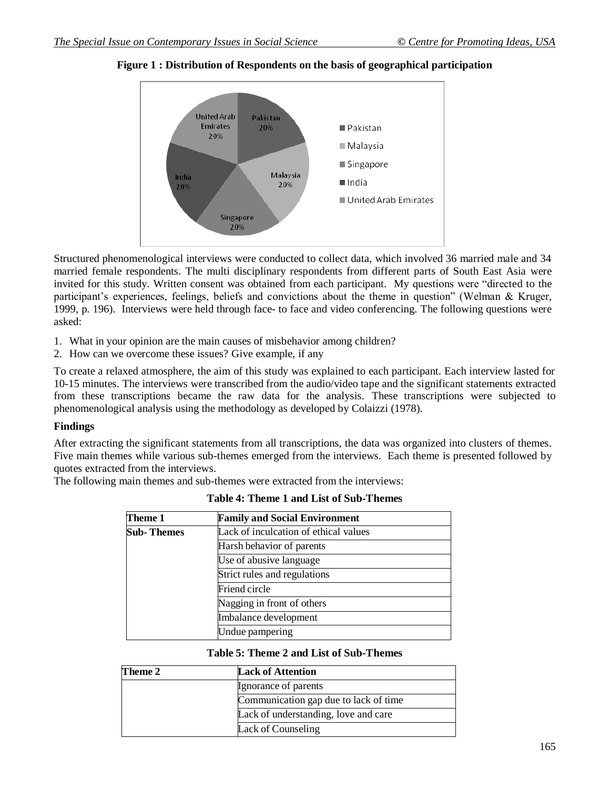

### **Figure 1 : Distribution of Respondents on the basis of geographical participation**

Structured phenomenological interviews were conducted to collect data, which involved 36 married male and 34 married female respondents. The multi disciplinary respondents from different parts of South East Asia were invited for this study. Written consent was obtained from each participant. My questions were "directed to the participant's experiences, feelings, beliefs and convictions about the theme in question" (Welman & Kruger, 1999, p. 196). Interviews were held through face- to face and video conferencing. The following questions were asked:

- 1. What in your opinion are the main causes of misbehavior among children?
- 2. How can we overcome these issues? Give example, if any

To create a relaxed atmosphere, the aim of this study was explained to each participant. Each interview lasted for 10-15 minutes. The interviews were transcribed from the audio/video tape and the significant statements extracted from these transcriptions became the raw data for the analysis. These transcriptions were subjected to phenomenological analysis using the methodology as developed by Colaizzi (1978).

### **Findings**

After extracting the significant statements from all transcriptions, the data was organized into clusters of themes. Five main themes while various sub-themes emerged from the interviews. Each theme is presented followed by quotes extracted from the interviews.

The following main themes and sub-themes were extracted from the interviews:

| Theme 1     | <b>Family and Social Environment</b>  |  |
|-------------|---------------------------------------|--|
| Sub- Themes | Lack of inculcation of ethical values |  |
|             | Harsh behavior of parents             |  |
|             | Use of abusive language               |  |
|             | Strict rules and regulations          |  |
|             | Friend circle                         |  |
|             | Nagging in front of others            |  |
|             | Imbalance development                 |  |
|             | Undue pampering                       |  |

### **Table 4: Theme 1 and List of Sub-Themes**

#### **Table 5: Theme 2 and List of Sub-Themes**

| Theme 2 | <b>Lack of Attention</b>              |
|---------|---------------------------------------|
|         | Ignorance of parents                  |
|         | Communication gap due to lack of time |
|         | Lack of understanding, love and care  |
|         | Lack of Counseling                    |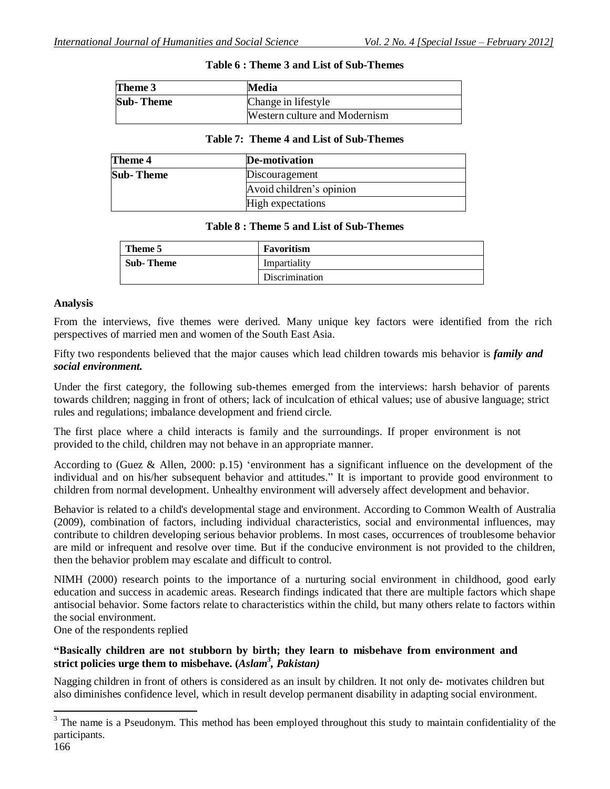| Theme 3          | Media                         |
|------------------|-------------------------------|
| <b>Sub-Theme</b> | Change in lifestyle           |
|                  | Western culture and Modernism |

### **Table 6 : Theme 3 and List of Sub-Themes**

#### **Table 7: Theme 4 and List of Sub-Themes**

| Theme 4    | De-motivation            |
|------------|--------------------------|
| Sub- Theme | Discouragement           |
|            | Avoid children's opinion |
|            | High expectations        |

#### **Table 8 : Theme 5 and List of Sub-Themes**

| Theme 5   | Favoritism     |
|-----------|----------------|
| Sub-Theme | Impartiality   |
|           | Discrimination |

#### **Analysis**

From the interviews, five themes were derived. Many unique key factors were identified from the rich perspectives of married men and women of the South East Asia.

Fifty two respondents believed that the major causes which lead children towards mis behavior is *family and social environment.*

Under the first category, the following sub-themes emerged from the interviews: harsh behavior of parents towards children; nagging in front of others; lack of inculcation of ethical values; use of abusive language; strict rules and regulations; imbalance development and friend circle.

The first place where a child interacts is family and the surroundings. If proper environment is not provided to the child, children may not behave in an appropriate manner.

According to (Guez & Allen, 2000: p.15) "environment has a significant influence on the development of the individual and on his/her subsequent behavior and attitudes." It is important to provide good environment to children from normal development. Unhealthy environment will adversely affect development and behavior.

Behavior is related to a child's developmental stage and environment. According to Common Wealth of Australia (2009), combination of factors, including individual characteristics, social and environmental influences, may contribute to children developing serious behavior problems. In most cases, occurrences of troublesome behavior are mild or infrequent and resolve over time. But if the conducive environment is not provided to the children, then the behavior problem may escalate and difficult to control.

NIMH (2000) research points to the importance of a nurturing social environment in childhood, good early education and success in academic areas. Research findings indicated that there are multiple factors which shape antisocial behavior. Some factors relate to characteristics within the child, but many others relate to factors within the social environment.

One of the respondents replied

# **"Basically children are not stubborn by birth; they learn to misbehave from environment and strict policies urge them to misbehave. (***Aslam<sup>3</sup> , Pakistan)*

Nagging children in front of others is considered as an insult by children. It not only de- motivates children but also diminishes confidence level, which in result develop permanent disability in adapting social environment.

<sup>&</sup>lt;sup>3</sup> The name is a Pseudonym. This method has been employed throughout this study to maintain confidentiality of the participants.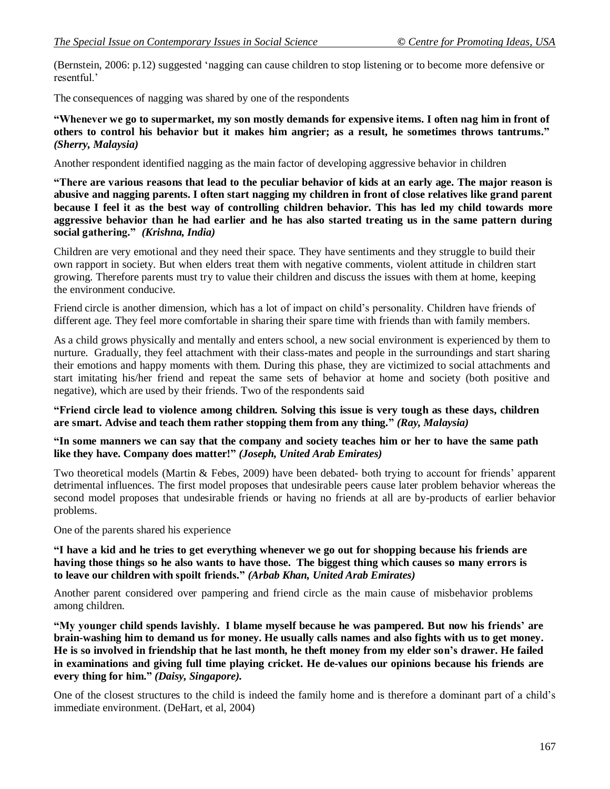(Bernstein, 2006: p.12) suggested "nagging can cause children to stop listening or to become more defensive or resentful."

The consequences of nagging was shared by one of the respondents

**"Whenever we go to supermarket, my son mostly demands for expensive items. I often nag him in front of others to control his behavior but it makes him angrier; as a result, he sometimes throws tantrums."** *(Sherry, Malaysia)*

Another respondent identified nagging as the main factor of developing aggressive behavior in children

"There are various reasons that lead to the peculiar behavior of kids at an early age. The major reason is **abusive and nagging parents. I often start nagging my children in front of close relatives like grand parent** because I feel it as the best way of controlling children behavior. This has led my child towards more **aggressive behavior than he had earlier and he has also started treating us in the same pattern during social gathering."** *(Krishna, India)*

Children are very emotional and they need their space. They have sentiments and they struggle to build their own rapport in society. But when elders treat them with negative comments, violent attitude in children start growing. Therefore parents must try to value their children and discuss the issues with them at home, keeping the environment conducive.

Friend circle is another dimension, which has a lot of impact on child"s personality. Children have friends of different age. They feel more comfortable in sharing their spare time with friends than with family members.

As a child grows physically and mentally and enters school, a new social environment is experienced by them to nurture. Gradually, they feel attachment with their class-mates and people in the surroundings and start sharing their emotions and happy moments with them. During this phase, they are victimized to social attachments and start imitating his/her friend and repeat the same sets of behavior at home and society (both positive and negative), which are used by their friends. Two of the respondents said

**"Friend circle lead to violence among children. Solving this issue is very tough as these days, children are smart. Advise and teach them rather stopping them from any thing."** *(Ray, Malaysia)*

**"In some manners we can say that the company and society teaches him or her to have the same path like they have. Company does matter!"** *(Joseph, United Arab Emirates)*

Two theoretical models (Martin & Febes, 2009) have been debated- both trying to account for friends" apparent detrimental influences. The first model proposes that undesirable peers cause later problem behavior whereas the second model proposes that undesirable friends or having no friends at all are by-products of earlier behavior problems.

One of the parents shared his experience

"I have a kid and he tries to get everything whenever we go out for shopping because his friends are **having those things so he also wants to have those. The biggest thing which causes so many errors is to leave our children with spoilt friends."** *(Arbab Khan, United Arab Emirates)*

Another parent considered over pampering and friend circle as the main cause of misbehavior problems among children.

**"My younger child spends lavishly. I blame myself because he was pampered. But now his friends" are brain-washing him to demand us for money. He usually calls names and also fights with us to get money. He is so involved in friendship that he last month, he theft money from my elder son"s drawer. He failed in examinations and giving full time playing cricket. He de-values our opinions because his friends are every thing for him."** *(Daisy, Singapore).*

One of the closest structures to the child is indeed the family home and is therefore a dominant part of a child"s immediate environment. (DeHart, et al, 2004)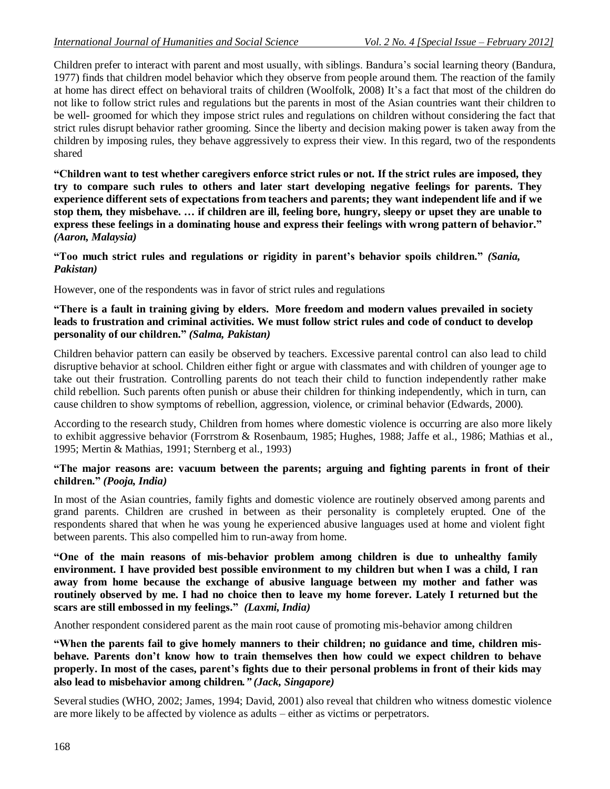Children prefer to interact with parent and most usually, with siblings. Bandura"s social learning theory (Bandura, 1977) finds that children model behavior which they observe from people around them. The reaction of the family at home has direct effect on behavioral traits of children (Woolfolk, 2008) It"s a fact that most of the children do not like to follow strict rules and regulations but the parents in most of the Asian countries want their children to be well- groomed for which they impose strict rules and regulations on children without considering the fact that strict rules disrupt behavior rather grooming. Since the liberty and decision making power is taken away from the children by imposing rules, they behave aggressively to express their view. In this regard, two of the respondents shared

**"Children want to test whether caregivers enforce strict rules or not. If the strict rules are imposed, they try to compare such rules to others and later start developing negative feelings for parents. They experience different sets of expectations from teachers and parents; they want independent life and if we stop them, they misbehave. … if children are ill, feeling bore, hungry, sleepy or upset they are unable to express these feelings in a dominating house and express their feelings with wrong pattern of behavior."** *(Aaron, Malaysia)*

**"Too much strict rules and regulations or rigidity in parent"s behavior spoils children."** *(Sania, Pakistan)*

However, one of the respondents was in favor of strict rules and regulations

### **"There is a fault in training giving by elders. More freedom and modern values prevailed in society leads to frustration and criminal activities. We must follow strict rules and code of conduct to develop personality of our children."** *(Salma, Pakistan)*

Children behavior pattern can easily be observed by teachers. Excessive parental control can also lead to child disruptive behavior at school. Children either fight or argue with classmates and with children of younger age to take out their frustration. Controlling parents do not teach their child to function independently rather make child rebellion. Such parents often punish or abuse their children for thinking independently, which in turn, can cause children to show symptoms of rebellion, aggression, violence, or criminal behavior (Edwards, 2000).

According to the research study, Children from homes where domestic violence is occurring are also more likely to exhibit aggressive behavior (Forrstrom & Rosenbaum, 1985; Hughes, 1988; Jaffe et al., 1986; Mathias et al., 1995; Mertin & Mathias, 1991; Sternberg et al., 1993)

# **"The major reasons are: vacuum between the parents; arguing and fighting parents in front of their children."** *(Pooja, India)*

In most of the Asian countries, family fights and domestic violence are routinely observed among parents and grand parents. Children are crushed in between as their personality is completely erupted. One of the respondents shared that when he was young he experienced abusive languages used at home and violent fight between parents. This also compelled him to run-away from home.

**"One of the main reasons of mis-behavior problem among children is due to unhealthy family environment. I have provided best possible environment to my children but when I was a child, I ran away from home because the exchange of abusive language between my mother and father was routinely observed by me. I had no choice then to leave my home forever. Lately I returned but the scars are still embossed in my feelings."** *(Laxmi, India)*

Another respondent considered parent as the main root cause of promoting mis-behavior among children

**"When the parents fail to give homely manners to their children; no guidance and time, children misbehave. Parents don"t know how to train themselves then how could we expect children to behave properly. In most of the cases, parent"s fights due to their personal problems in front of their kids may also lead to misbehavior among children***." (Jack, Singapore)*

Several studies (WHO, 2002; James, 1994; David, 2001) also reveal that children who witness domestic violence are more likely to be affected by violence as adults – either as victims or perpetrators.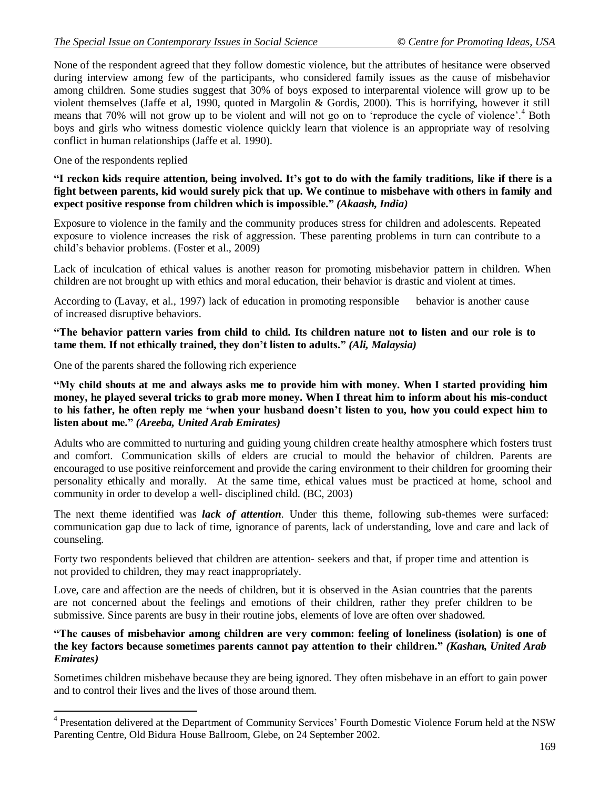None of the respondent agreed that they follow domestic violence, but the attributes of hesitance were observed during interview among few of the participants, who considered family issues as the cause of misbehavior among children. Some studies suggest that 30% of boys exposed to interparental violence will grow up to be violent themselves (Jaffe et al, 1990, quoted in Margolin & Gordis, 2000). This is horrifying, however it still means that 70% will not grow up to be violent and will not go on to 'reproduce the cycle of violence'.<sup>4</sup> Both boys and girls who witness domestic violence quickly learn that violence is an appropriate way of resolving conflict in human relationships (Jaffe et al. 1990).

One of the respondents replied

"I reckon kids require attention, being involved. It's got to do with the family traditions, like if there is a **fight between parents, kid would surely pick that up. We continue to misbehave with others in family and expect positive response from children which is impossible."** *(Akaash, India)*

Exposure to violence in the family and the community produces stress for children and adolescents. Repeated exposure to violence increases the risk of aggression. These parenting problems in turn can contribute to a child"s behavior problems. (Foster et al., 2009)

Lack of inculcation of ethical values is another reason for promoting misbehavior pattern in children. When children are not brought up with ethics and moral education, their behavior is drastic and violent at times.

According to (Lavay, et al., 1997) lack of education in promoting responsible behavior is another cause of increased disruptive behaviors.

**"The behavior pattern varies from child to child. Its children nature not to listen and our role is to tame them. If not ethically trained, they don"t listen to adults."** *(Ali, Malaysia)*

One of the parents shared the following rich experience

**"My child shouts at me and always asks me to provide him with money. When I started providing him money, he played several tricks to grab more money. When I threat him to inform about his mis-conduct to his father, he often reply me "when your husband doesn"t listen to you, how you could expect him to listen about me."** *(Areeba, United Arab Emirates)*

Adults who are committed to nurturing and guiding young children create healthy atmosphere which fosters trust and comfort. Communication skills of elders are crucial to mould the behavior of children. Parents are encouraged to use positive reinforcement and provide the caring environment to their children for grooming their personality ethically and morally. At the same time, ethical values must be practiced at home, school and community in order to develop a well- disciplined child. (BC, 2003)

The next theme identified was *lack of attention*. Under this theme, following sub-themes were surfaced: communication gap due to lack of time, ignorance of parents, lack of understanding, love and care and lack of counseling.

Forty two respondents believed that children are attention- seekers and that, if proper time and attention is not provided to children, they may react inappropriately.

Love, care and affection are the needs of children, but it is observed in the Asian countries that the parents are not concerned about the feelings and emotions of their children, rather they prefer children to be submissive. Since parents are busy in their routine jobs, elements of love are often over shadowed.

# **"The causes of misbehavior among children are very common: feeling of loneliness (isolation) is one of the key factors because sometimes parents cannot pay attention to their children."** *(Kashan, United Arab Emirates)*

Sometimes children misbehave because they are being ignored. They often misbehave in an effort to gain power and to control their lives and the lives of those around them.

<sup>&</sup>lt;sup>4</sup> Presentation delivered at the Department of Community Services' Fourth Domestic Violence Forum held at the NSW Parenting Centre, Old Bidura House Ballroom, Glebe, on 24 September 2002.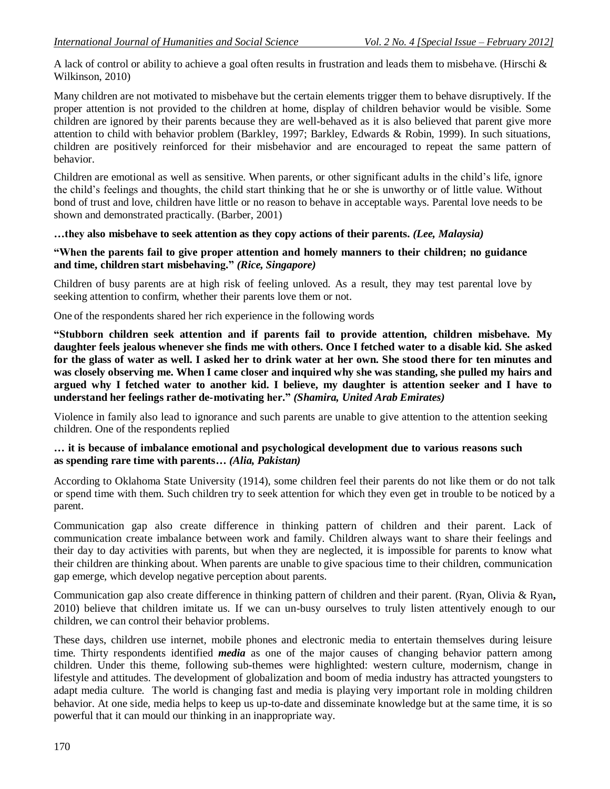A lack of control or ability to achieve a goal often results in frustration and leads them to misbehave. (Hirschi & Wilkinson, 2010)

Many children are not motivated to misbehave but the certain elements trigger them to behave disruptively. If the proper attention is not provided to the children at home, display of children behavior would be visible. Some children are ignored by their parents because they are well-behaved as it is also believed that parent give more attention to child with behavior problem (Barkley, 1997; Barkley, Edwards & Robin, 1999). In such situations, children are positively reinforced for their misbehavior and are encouraged to repeat the same pattern of behavior.

Children are emotional as well as sensitive. When parents, or other significant adults in the child"s life, ignore the child"s feelings and thoughts, the child start thinking that he or she is unworthy or of little value. Without bond of trust and love, children have little or no reason to behave in acceptable ways. Parental love needs to be shown and demonstrated practically. (Barber, 2001)

#### **…they also misbehave to seek attention as they copy actions of their parents.** *(Lee, Malaysia)*

#### **"When the parents fail to give proper attention and homely manners to their children; no guidance and time, children start misbehaving."** *(Rice, Singapore)*

Children of busy parents are at high risk of feeling unloved. As a result, they may test parental love by seeking attention to confirm, whether their parents love them or not.

One of the respondents shared her rich experience in the following words

**"Stubborn children seek attention and if parents fail to provide attention, children misbehave. My daughter feels jealous whenever she finds me with others. Once I fetched water to a disable kid. She asked** for the glass of water as well. I asked her to drink water at her own. She stood there for ten minutes and **was closely observing me. When I came closer and inquired why she was standing, she pulled my hairs and argued why I fetched water to another kid. I believe, my daughter is attention seeker and I have to understand her feelings rather de-motivating her."** *(Shamira, United Arab Emirates)*

Violence in family also lead to ignorance and such parents are unable to give attention to the attention seeking children. One of the respondents replied

#### **… it is because of imbalance emotional and psychological development due to various reasons such as spending rare time with parents…** *(Alia, Pakistan)*

According to Oklahoma State University (1914), some children feel their parents do not like them or do not talk or spend time with them. Such children try to seek attention for which they even get in trouble to be noticed by a parent.

Communication gap also create difference in thinking pattern of children and their parent. Lack of communication create imbalance between work and family. Children always want to share their feelings and their day to day activities with parents, but when they are neglected, it is impossible for parents to know what their children are thinking about. When parents are unable to give spacious time to their children, communication gap emerge, which develop negative perception about parents.

Communication gap also create difference in thinking pattern of children and their parent. (Ryan, Olivia & Ryan**,** 2010) believe that children imitate us. If we can un-busy ourselves to truly listen attentively enough to our children, we can control their behavior problems.

These days, children use internet, mobile phones and electronic media to entertain themselves during leisure time. Thirty respondents identified *media* as one of the major causes of changing behavior pattern among children. Under this theme, following sub-themes were highlighted: western culture, modernism, change in lifestyle and attitudes. The development of globalization and boom of media industry has attracted youngsters to adapt media culture. The world is changing fast and media is playing very important role in molding children behavior. At one side, media helps to keep us up-to-date and disseminate knowledge but at the same time, it is so powerful that it can mould our thinking in an inappropriate way.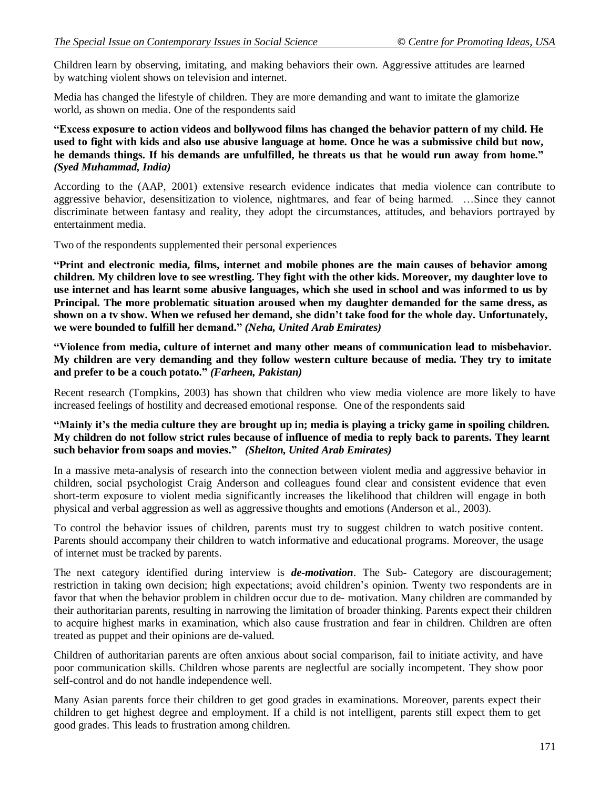Children learn by observing, imitating, and making behaviors their own. Aggressive attitudes are learned by watching violent shows on television and internet.

Media has changed the lifestyle of children. They are more demanding and want to imitate the glamorize world, as shown on media. One of the respondents said

**"Excess exposure to action videos and bollywood films has changed the behavior pattern of my child. He** used to fight with kids and also use abusive language at home. Once he was a submissive child but now, **he demands things. If his demands are unfulfilled, he threats us that he would run away from home."** *(Syed Muhammad, India)*

According to the (AAP, 2001) extensive research evidence indicates that media violence can contribute to aggressive behavior, desensitization to violence, nightmares, and fear of being harmed. …Since they cannot discriminate between fantasy and reality, they adopt the circumstances, attitudes, and behaviors portrayed by entertainment media.

Two of the respondents supplemented their personal experiences

**"Print and electronic media, films, internet and mobile phones are the main causes of behavior among children. My children love to see wrestling. They fight with the other kids. Moreover, my daughter love to use internet and has learnt some abusive languages, which she used in school and was informed to us by Principal. The more problematic situation aroused when my daughter demanded for the same dress, as**  shown on a ty show. When we refused her demand, she didn't take food for the whole day. Unfortunately, **we were bounded to fulfill her demand."** *(Neha, United Arab Emirates)*

**"Violence from media, culture of internet and many other means of communication lead to misbehavior. My children are very demanding and they follow western culture because of media. They try to imitate and prefer to be a couch potato."** *(Farheen, Pakistan)*

Recent research (Tompkins, 2003) has shown that children who view media violence are more likely to have increased feelings of hostility and decreased emotional response. One of the respondents said

# "Mainly it's the media culture they are brought up in; media is playing a tricky game in spoiling children. **My children do not follow strict rules because of influence of media to reply back to parents. They learnt such behavior from soaps and movies."** *(Shelton, United Arab Emirates)*

In a massive meta-analysis of research into the connection between violent media and aggressive behavior in children, social psychologist Craig Anderson and colleagues found clear and consistent evidence that even short-term exposure to violent media significantly increases the likelihood that children will engage in both physical and verbal aggression as well as aggressive thoughts and emotions (Anderson et al., 2003).

To control the behavior issues of children, parents must try to suggest children to watch positive content. Parents should accompany their children to watch informative and educational programs. Moreover, the usage of internet must be tracked by parents.

The next category identified during interview is *de-motivation*. The Sub- Category are discouragement; restriction in taking own decision; high expectations; avoid children"s opinion. Twenty two respondents are in favor that when the behavior problem in children occur due to de- motivation. Many children are commanded by their authoritarian parents, resulting in narrowing the limitation of broader thinking. Parents expect their children to acquire highest marks in examination, which also cause frustration and fear in children. Children are often treated as puppet and their opinions are de-valued.

Children of authoritarian parents are often anxious about social comparison, fail to initiate activity, and have poor communication skills. Children whose parents are neglectful are socially incompetent. They show poor self-control and do not handle independence well.

Many Asian parents force their children to get good grades in examinations. Moreover, parents expect their children to get highest degree and employment. If a child is not intelligent, parents still expect them to get good grades. This leads to frustration among children.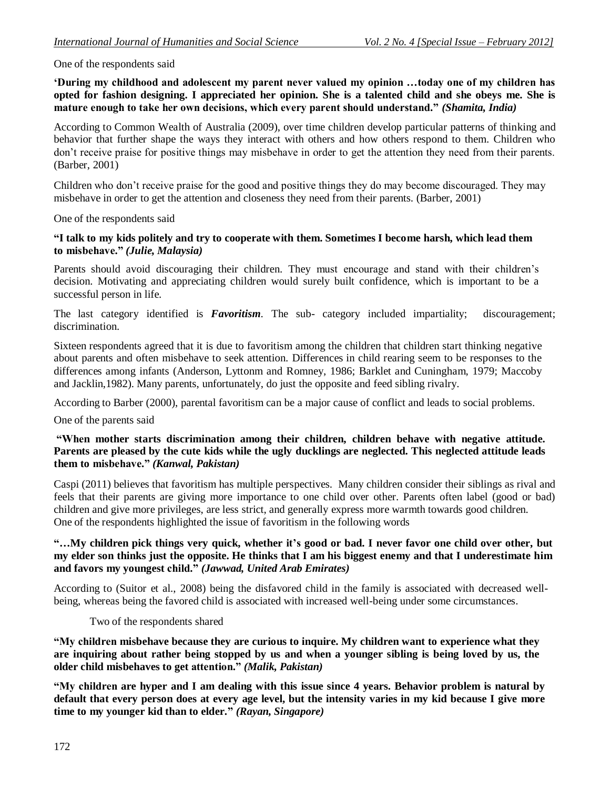#### One of the respondents said

**"During my childhood and adolescent my parent never valued my opinion …today one of my children has opted for fashion designing. I appreciated her opinion. She is a talented child and she obeys me. She is mature enough to take her own decisions, which every parent should understand."** *(Shamita, India)*

According to Common Wealth of Australia (2009), over time children develop particular patterns of thinking and behavior that further shape the ways they interact with others and how others respond to them. Children who don"t receive praise for positive things may misbehave in order to get the attention they need from their parents. (Barber, 2001)

Children who don"t receive praise for the good and positive things they do may become discouraged. They may misbehave in order to get the attention and closeness they need from their parents. (Barber, 2001)

One of the respondents said

### **"I talk to my kids politely and try to cooperate with them. Sometimes I become harsh, which lead them to misbehave."** *(Julie, Malaysia)*

Parents should avoid discouraging their children. They must encourage and stand with their children's decision. Motivating and appreciating children would surely built confidence, which is important to be a successful person in life.

The last category identified is *Favoritism*. The sub- category included impartiality; discouragement; discrimination.

Sixteen respondents agreed that it is due to favoritism among the children that children start thinking negative about parents and often misbehave to seek attention. Differences in child rearing seem to be responses to the differences among infants (Anderson, Lyttonm and Romney, 1986; Barklet and Cuningham, 1979; Maccoby and Jacklin,1982). Many parents, unfortunately, do just the opposite and feed sibling rivalry.

According to Barber (2000), parental favoritism can be a major cause of conflict and leads to social problems.

One of the parents said

### **"When mother starts discrimination among their children, children behave with negative attitude. Parents are pleased by the cute kids while the ugly ducklings are neglected. This neglected attitude leads them to misbehave."** *(Kanwal, Pakistan)*

Caspi (2011) believes that favoritism has multiple perspectives. Many children consider their siblings as rival and feels that their parents are giving more importance to one child over other. Parents often label (good or bad) children and give more privileges, are less strict, and generally express more warmth towards good children. One of the respondents highlighted the issue of favoritism in the following words

### **"…My children pick things very quick, whether it"s good or bad. I never favor one child over other, but my elder son thinks just the opposite. He thinks that I am his biggest enemy and that I underestimate him and favors my youngest child."** *(Jawwad, United Arab Emirates)*

According to (Suitor et al., 2008) being the disfavored child in the family is associated with decreased wellbeing, whereas being the favored child is associated with increased well-being under some circumstances.

#### Two of the respondents shared

**"My children misbehave because they are curious to inquire. My children want to experience what they are inquiring about rather being stopped by us and when a younger sibling is being loved by us, the older child misbehaves to get attention."** *(Malik, Pakistan)*

**"My children are hyper and I am dealing with this issue since 4 years. Behavior problem is natural by** default that every person does at every age level, but the intensity varies in my kid because I give more **time to my younger kid than to elder."** *(Rayan, Singapore)*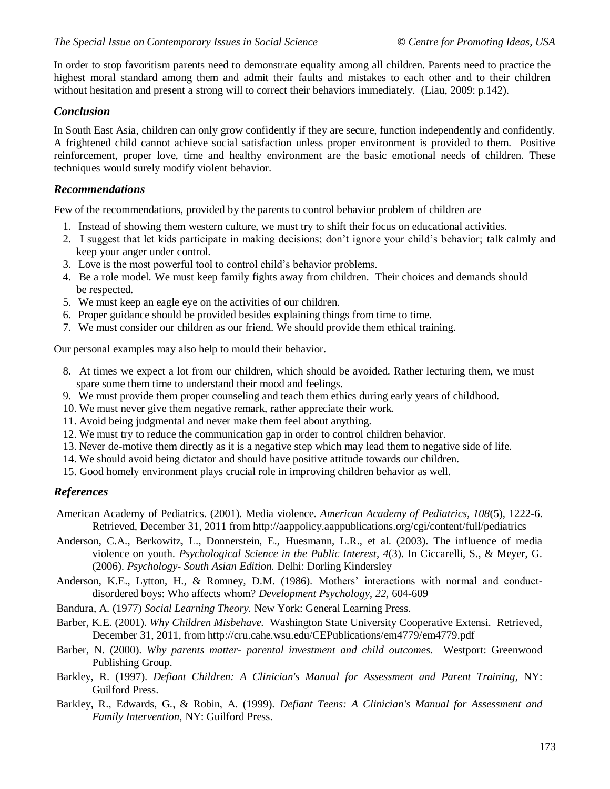In order to stop favoritism parents need to demonstrate equality among all children. Parents need to practice the highest moral standard among them and admit their faults and mistakes to each other and to their children without hesitation and present a strong will to correct their behaviors immediately. (Liau, 2009: p.142).

# *Conclusion*

In South East Asia, children can only grow confidently if they are secure, function independently and confidently. A frightened child cannot achieve social satisfaction unless proper environment is provided to them. Positive reinforcement, proper love, time and healthy environment are the basic emotional needs of children. These techniques would surely modify violent behavior.

# *Recommendations*

Few of the recommendations, provided by the parents to control behavior problem of children are

- 1. Instead of showing them western culture, we must try to shift their focus on educational activities.
- 2. I suggest that let kids participate in making decisions; don"t ignore your child"s behavior; talk calmly and keep your anger under control.
- 3. Love is the most powerful tool to control child"s behavior problems.
- 4. Be a role model. We must keep family fights away from children. Their choices and demands should be respected.
- 5. We must keep an eagle eye on the activities of our children.
- 6. Proper guidance should be provided besides explaining things from time to time.
- 7. We must consider our children as our friend. We should provide them ethical training.

Our personal examples may also help to mould their behavior.

- 8. At times we expect a lot from our children, which should be avoided. Rather lecturing them, we must spare some them time to understand their mood and feelings.
- 9. We must provide them proper counseling and teach them ethics during early years of childhood.
- 10. We must never give them negative remark, rather appreciate their work.
- 11. Avoid being judgmental and never make them feel about anything.
- 12. We must try to reduce the communication gap in order to control children behavior.
- 13. Never de-motive them directly as it is a negative step which may lead them to negative side of life.
- 14. We should avoid being dictator and should have positive attitude towards our children.
- 15. Good homely environment plays crucial role in improving children behavior as well.

# *References*

- American Academy of Pediatrics. (2001). Media violence. *American Academy of Pediatrics, 108*(5)*,* 1222-6. Retrieved, December 31, 2011 from http://aappolicy.aappublications.org/cgi/content/full/pediatrics
- Anderson, C.A., Berkowitz, L., Donnerstein, E., Huesmann, L.R., et al. (2003). The influence of media violence on youth. *Psychological Science in the Public Interest, 4*(3). In Ciccarelli, S., & Meyer, G. (2006). *Psychology- South Asian Edition.* Delhi: Dorling Kindersley
- Anderson, K.E., Lytton, H., & Romney, D.M. (1986). Mothers' interactions with normal and conductdisordered boys: Who affects whom? *Development Psychology, 22,* 604-609
- Bandura, A. (1977) *Social Learning Theory.* New York: General Learning Press.
- Barber, K.E. (2001). *Why Children Misbehave.* Washington State University Cooperative Extensi. Retrieved, December 31, 2011, from http://cru.cahe.wsu.edu/CEPublications/em4779/em4779.pdf
- Barber, N. (2000). *Why parents matter- parental investment and child outcomes.* Westport: Greenwood Publishing Group.
- Barkley, R. (1997). *Defiant Children: A Clinician's Manual for Assessment and Parent Training*, NY: Guilford Press.
- Barkley, R., Edwards, G., & Robin, A. (1999). *Defiant Teens: A Clinician's Manual for Assessment and Family Intervention*, NY: Guilford Press.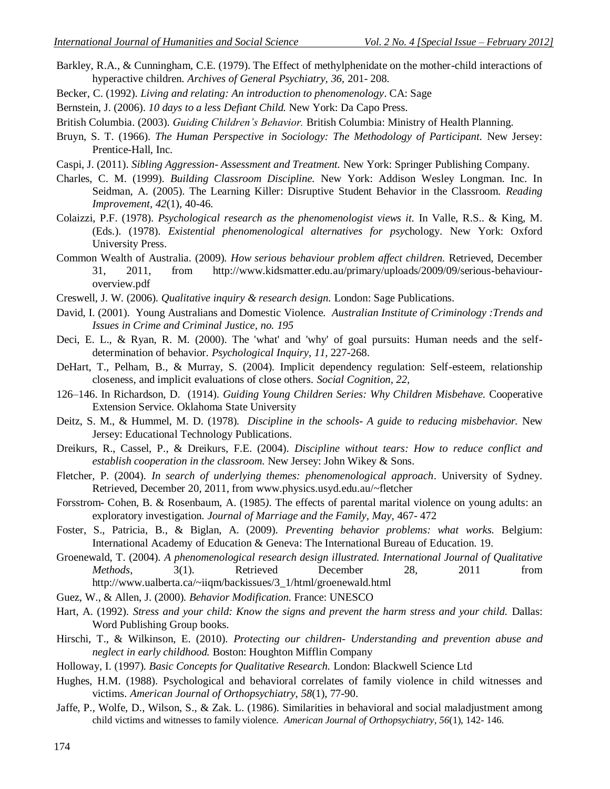- Barkley, R.A., & Cunningham, C.E. (1979). The Effect of methylphenidate on the mother-child interactions of hyperactive children. *Archives of General Psychiatry, 36,* 201- 208.
- Becker, C. (1992). *Living and relating: An introduction to phenomenology*. CA: Sage
- Bernstein, J. (2006). *10 days to a less Defiant Child.* New York: Da Capo Press.
- British Columbia. (2003). *Guiding Children's Behavior.* British Columbia: Ministry of Health Planning.
- Bruyn, S. T. (1966). *The Human Perspective in Sociology: The Methodology of Participant.* New Jersey: Prentice-Hall, Inc.
- Caspi, J. (2011). *Sibling Aggression- Assessment and Treatment.* New York: Springer Publishing Company.
- Charles, C. M. (1999). *Building Classroom Discipline.* New York: Addison Wesley Longman. Inc. In Seidman, A. (2005). The Learning Killer: Disruptive Student Behavior in the Classroom. *Reading Improvement, 42*(1), 40-46.
- Colaizzi, P.F. (1978). *Psychological research as the phenomenologist views it.* In Valle, R.S.. & King, M. (Eds.). (1978). *Existential phenomenological alternatives for psy*chology. New York: Oxford University Press.
- Common Wealth of Australia. (2009). *How serious behaviour problem affect children.* Retrieved, December 31, 2011, from http://www.kidsmatter.edu.au/primary/uploads/2009/09/serious-behaviouroverview.pdf
- Creswell, J. W. (2006). *Qualitative inquiry & research design.* London: Sage Publications.
- David, I. (2001). Young Australians and Domestic Violence. *Australian Institute of Criminology :Trends and Issues in Crime and Criminal Justice, no. 195*
- Deci, E. L., & Ryan, R. M. (2000). The 'what' and 'why' of goal pursuits: Human needs and the selfdetermination of behavior. *Psychological Inquiry*, *11*, 227-268.
- DeHart, T., Pelham, B., & Murray, S. (2004). Implicit dependency regulation: Self-esteem, relationship closeness, and implicit evaluations of close others. *Social Cognition, 22,*
- 126–146. In Richardson, D. (1914). *Guiding Young Children Series: Why Children Misbehave.* Cooperative Extension Service. Oklahoma State University
- Deitz, S. M., & Hummel, M. D. (1978). *Discipline in the schools- A guide to reducing misbehavior.* New Jersey: Educational Technology Publications.
- Dreikurs, R., Cassel, P., & Dreikurs, F.E. (2004). *Discipline without tears: How to reduce conflict and establish cooperation in the classroom.* New Jersey: John Wikey & Sons.
- Fletcher, P. (2004). *In search of underlying themes: phenomenological approach*. University of Sydney. Retrieved, December 20, 2011, from www.physics.usyd.edu.au/~fletcher
- Forsstrom- Cohen, B. & Rosenbaum, A. (1985*).* The effects of parental marital violence on young adults: an exploratory investigation*. Journal of Marriage and the Family, May,* 467- 472
- Foster, S., Patricia, B., & Biglan, A. (2009). *Preventing behavior problems: what works.* Belgium: International Academy of Education & Geneva: The International Bureau of Education. 19.
- Groenewald, T. (2004). *A phenomenological research design illustrated. International Journal of Qualitative Methods*, 3(1). Retrieved December 28, 2011 from http://www.ualberta.ca/~iiqm/backissues/3\_1/html/groenewald.html
- Guez, W., & Allen, J. (2000). *Behavior Modification.* France: UNESCO
- Hart, A. (1992). *Stress and your child: Know the signs and prevent the harm stress and your child.* Dallas: Word Publishing Group books.
- Hirschi, T., & Wilkinson, E. (2010). *Protecting our children- Understanding and prevention abuse and neglect in early childhood.* Boston: Houghton Mifflin Company

Holloway, I. (1997). *Basic Concepts for Qualitative Research.* London: Blackwell Science Ltd

- Hughes, H.M. (1988). Psychological and behavioral correlates of family violence in child witnesses and victims. *American Journal of Orthopsychiatry*, *58*(1), 77-90.
- Jaffe, P., Wolfe, D., Wilson, S., & Zak. L. (1986). Similarities in behavioral and social maladjustment among child victims and witnesses to family violence. *American Journal of Orthopsychiatry*, *56*(1), 142- 146.